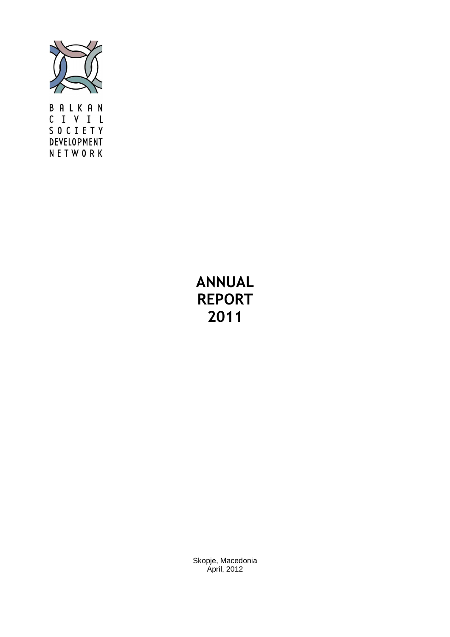

BALKAN CIVIL SOCIETY DEVELOPMENT NETWORK

# **ANNUAL REPORT 2011**

Skopje, Macedonia April, 2012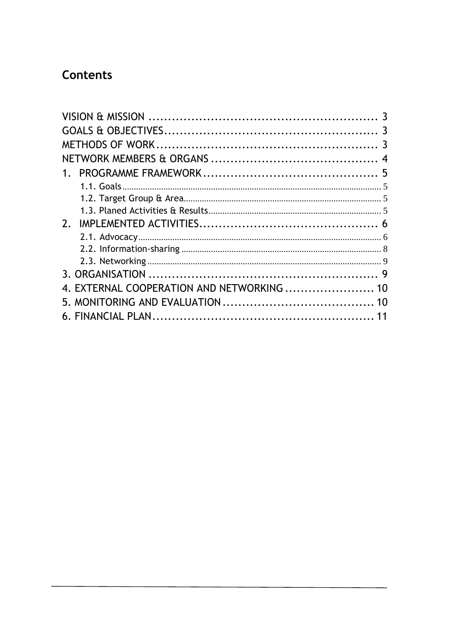# Contents

| 2.                                         |  |
|--------------------------------------------|--|
|                                            |  |
|                                            |  |
|                                            |  |
|                                            |  |
| 4. EXTERNAL COOPERATION AND NETWORKING  10 |  |
|                                            |  |
|                                            |  |
|                                            |  |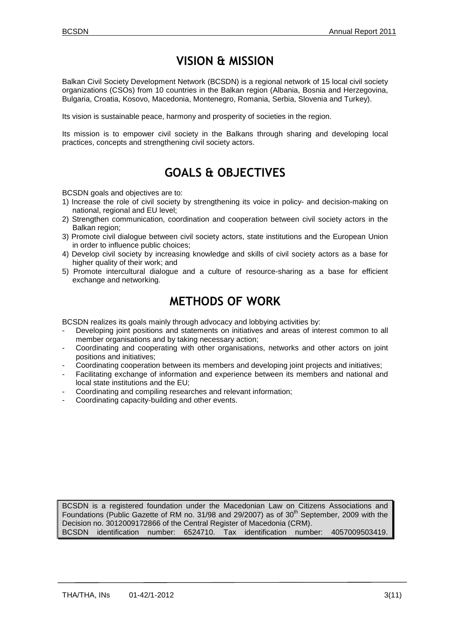## **VISION & MISSION**

Balkan Civil Society Development Network (BCSDN) is a regional network of 15 local civil society organizations (CSOs) from 10 countries in the Balkan region (Albania, Bosnia and Herzegovina, Bulgaria, Croatia, Kosovo, Macedonia, Montenegro, Romania, Serbia, Slovenia and Turkey).

Its vision is sustainable peace, harmony and prosperity of societies in the region.

Its mission is to empower civil society in the Balkans through sharing and developing local practices, concepts and strengthening civil society actors.

## **GOALS & OBJECTIVES**

BCSDN goals and objectives are to:

- 1) Increase the role of civil society by strengthening its voice in policy- and decision-making on national, regional and EU level;
- 2) Strengthen communication, coordination and cooperation between civil society actors in the Balkan region:
- 3) Promote civil dialogue between civil society actors, state institutions and the European Union in order to influence public choices;
- 4) Develop civil society by increasing knowledge and skills of civil society actors as a base for higher quality of their work; and
- 5) Promote intercultural dialogue and a culture of resource-sharing as a base for efficient exchange and networking.

## **METHODS OF WORK**

BCSDN realizes its goals mainly through advocacy and lobbying activities by:

- Developing joint positions and statements on initiatives and areas of interest common to all member organisations and by taking necessary action;
- Coordinating and cooperating with other organisations, networks and other actors on joint positions and initiatives;
- Coordinating cooperation between its members and developing joint projects and initiatives;
- Facilitating exchange of information and experience between its members and national and local state institutions and the EU;
- Coordinating and compiling researches and relevant information;
- Coordinating capacity-building and other events.

BCSDN is a registered foundation under the Macedonian Law on Citizens Associations and Foundations (Public Gazette of RM no. 31/98 and 29/2007) as of 30<sup>th</sup> September, 2009 with the Decision no. 3012009172866 of the Central Register of Macedonia (CRM). BCSDN identification number: 6524710. Tax identification number: 4057009503419.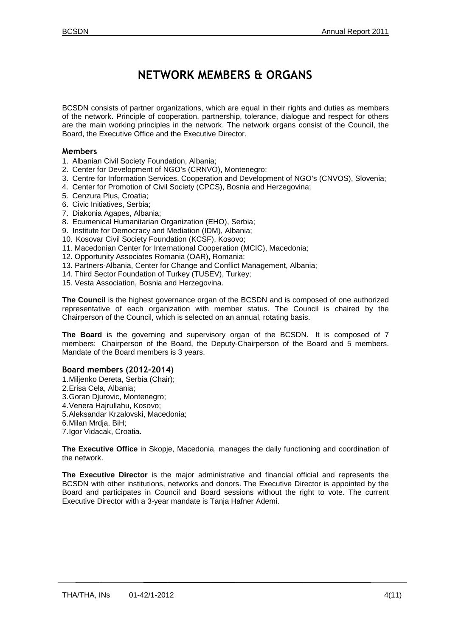## **NETWORK MEMBERS & ORGANS**

BCSDN consists of partner organizations, which are equal in their rights and duties as members of the network. Principle of cooperation, partnership, tolerance, dialogue and respect for others are the main working principles in the network. The network organs consist of the Council, the Board, the Executive Office and the Executive Director.

#### **Members**

- 1. Albanian Civil Society Foundation, Albania;
- 2. Center for Development of NGO's (CRNVO), Montenegro;
- 3. Centre for Information Services, Cooperation and Development of NGO's (CNVOS), Slovenia;
- 4. Center for Promotion of Civil Society (CPCS), Bosnia and Herzegovina;
- 5. Cenzura Plus, Croatia;
- 6. Civic Initiatives, Serbia;
- 7. Diakonia Agapes, Albania;
- 8. Ecumenical Humanitarian Organization (EHO), Serbia;
- 9. Institute for Democracy and Mediation (IDM), Albania;
- 10. Kosovar Civil Society Foundation (KCSF), Kosovo;
- 11. Macedonian Center for International Cooperation (MCIC), Macedonia;
- 12. Opportunity Associates Romania (OAR), Romania;
- 13. Partners-Albania, Center for Change and Conflict Management, Albania;
- 14. Third Sector Foundation of Turkey (TUSEV), Turkey;
- 15. Vesta Association, Bosnia and Herzegovina.

**The Council** is the highest governance organ of the BCSDN and is composed of one authorized representative of each organization with member status. The Council is chaired by the Chairperson of the Council, which is selected on an annual, rotating basis.

**The Board** is the governing and supervisory organ of the BCSDN. It is composed of 7 members: Chairperson of the Board, the Deputy-Chairperson of the Board and 5 members. Mandate of the Board members is 3 years.

#### **Board members (2012-2014)**

- 1. Miljenko Dereta, Serbia (Chair);
- 2. Erisa Cela, Albania;
- 3. Goran Djurovic, Montenegro;
- 4. Venera Hajrullahu, Kosovo;
- 5. Aleksandar Krzalovski, Macedonia;
- 6. Milan Mrdja, BiH;
- 7. Igor Vidacak, Croatia.

**The Executive Office** in Skopje, Macedonia, manages the daily functioning and coordination of the network.

**The Executive Director** is the major administrative and financial official and represents the BCSDN with other institutions, networks and donors. The Executive Director is appointed by the Board and participates in Council and Board sessions without the right to vote. The current Executive Director with a 3-year mandate is Tanja Hafner Ademi.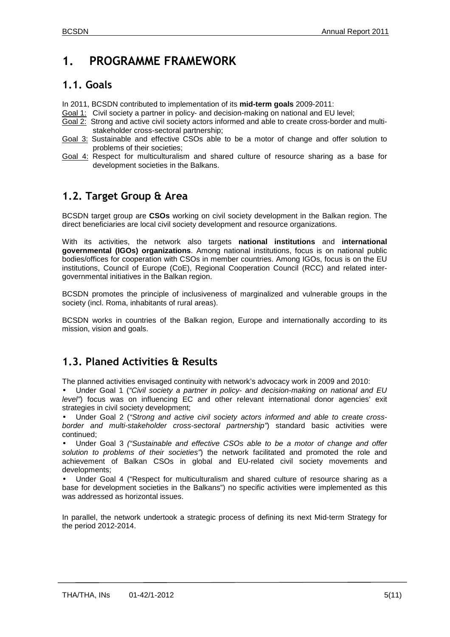## **1. PROGRAMME FRAMEWORK**

### **1.1. Goals**

- In 2011, BCSDN contributed to implementation of its **mid-term goals** 2009-2011:
- Goal 1: Civil society a partner in policy- and decision-making on national and EU level;
- Goal 2: Strong and active civil society actors informed and able to create cross-border and multistakeholder cross-sectoral partnership;
- Goal 3: Sustainable and effective CSOs able to be a motor of change and offer solution to problems of their societies;
- Goal 4: Respect for multiculturalism and shared culture of resource sharing as a base for development societies in the Balkans.

### **1.2. Target Group & Area**

BCSDN target group are **CSOs** working on civil society development in the Balkan region. The direct beneficiaries are local civil society development and resource organizations.

With its activities, the network also targets **national institutions** and **international governmental (IGOs) organizations**. Among national institutions, focus is on national public bodies/offices for cooperation with CSOs in member countries. Among IGOs, focus is on the EU institutions, Council of Europe (CoE), Regional Cooperation Council (RCC) and related intergovernmental initiatives in the Balkan region.

BCSDN promotes the principle of inclusiveness of marginalized and vulnerable groups in the society (incl. Roma, inhabitants of rural areas).

BCSDN works in countries of the Balkan region, Europe and internationally according to its mission, vision and goals.

### **1.3. Planed Activities & Results**

The planned activities envisaged continuity with network's advocacy work in 2009 and 2010:

Under Goal 1 ("Civil society a partner in policy- and decision-making on national and EU level") focus was on influencing EC and other relevant international donor agencies' exit strategies in civil society development;

Under Goal 2 ("Strong and active civil society actors informed and able to create crossborder and multi-stakeholder cross-sectoral partnership") standard basic activities were continued;

• Under Goal 3 ("Sustainable and effective CSOs able to be a motor of change and offer solution to problems of their societies") the network facilitated and promoted the role and achievement of Balkan CSOs in global and EU-related civil society movements and developments;

• Under Goal 4 ("Respect for multiculturalism and shared culture of resource sharing as a base for development societies in the Balkans") no specific activities were implemented as this was addressed as horizontal issues.

In parallel, the network undertook a strategic process of defining its next Mid-term Strategy for the period 2012-2014.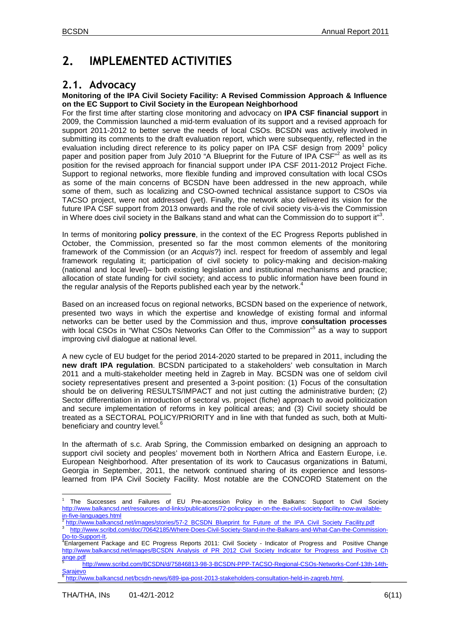## **2. IMPLEMENTED ACTIVITIES**

### **2.1. Advocacy**

#### **Monitoring of the IPA Civil Society Facility: A Revised Commission Approach & Influence on the EC Support to Civil Society in the European Neighborhood**

For the first time after starting close monitoring and advocacy on **IPA CSF financial support** in 2009, the Commission launched a mid-term evaluation of its support and a revised approach for support 2011-2012 to better serve the needs of local CSOs. BCSDN was actively involved in submitting its comments to the draft evaluation report, which were subsequently, reflected in the evaluation including direct reference to its policy paper on IPA CSF design from 2009<sup>1</sup> policy paper and position paper from July 2010 "A Blueprint for the Future of IPA CSF"<sup>2</sup> as well as its position for the revised approach for financial support under IPA CSF 2011-2012 Project Fiche. Support to regional networks, more flexible funding and improved consultation with local CSOs as some of the main concerns of BCSDN have been addressed in the new approach, while some of them, such as localizing and CSO-owned technical assistance support to CSOs via TACSO project, were not addressed (yet). Finally, the network also delivered its vision for the future IPA CSF support from 2013 onwards and the role of civil society vis-à-vis the Commission in Where does civil society in the Balkans stand and what can the Commission do to support it"<sup>3</sup>.

In terms of monitoring **policy pressure**, in the context of the EC Progress Reports published in October, the Commission, presented so far the most common elements of the monitoring framework of the Commission (or an Acquis?) incl. respect for freedom of assembly and legal framework regulating it; participation of civil society to policy-making and decision-making (national and local level)– both existing legislation and institutional mechanisms and practice; allocation of state funding for civil society; and access to public information have been found in the regular analysis of the Reports published each year by the network.<sup>4</sup>

Based on an increased focus on regional networks, BCSDN based on the experience of network, presented two ways in which the expertise and knowledge of existing formal and informal networks can be better used by the Commission and thus, improve **consultation processes** with local CSOs in "What CSOs Networks Can Offer to the Commission"<sup>5</sup> as a way to support improving civil dialogue at national level.

A new cycle of EU budget for the period 2014-2020 started to be prepared in 2011, including the **new draft IPA regulation**. BCSDN participated to a stakeholders' web consultation in March 2011 and a multi-stakeholder meeting held in Zagreb in May. BCSDN was one of seldom civil society representatives present and presented a 3-point position: (1) Focus of the consultation should be on delivering RESULTS/IMPACT and not just cutting the administrative burden; (2) Sector differentiation in introduction of sectoral vs. project (fiche) approach to avoid politicization and secure implementation of reforms in key political areas; and (3) Civil society should be treated as a SECTORAL POLICY/PRIORITY and in line with that funded as such, both at Multibeneficiary and country level.<sup>6</sup>

In the aftermath of s.c. Arab Spring, the Commission embarked on designing an approach to support civil society and peoples' movement both in Northern Africa and Eastern Europe, i.e. European Neighborhood. After presentation of its work to Caucasus organizations in Batumi, Georgia in September, 2011, the network continued sharing of its experience and lessonslearned from IPA Civil Society Facility. Most notable are the CONCORD Statement on the

 $\overline{a}$ 1 The Successes and Failures of EU Pre-accession Policy in the Balkans: Support to Civil Society http://www.balkancsd.net/resources-and-links/publications/72-policy-paper-on-the-eu-civil-society-facility-now-availablein-five-languages.html<br><sup>2</sup> http://www.bolkaneer

http://www.balkancsd.net/images/stories/57-2\_BCSDN\_Blueprint\_for\_Future\_of\_the\_IPA\_Civil\_Society\_Facility.pdf  $3^{\frac{1}{3}}$ http://www.scribd.com/doc/70642185/Where-Does-Civil-Society-Stand-in-the-Balkans-and-What-Can-the-Commission-

Do-to-Support-It. **Enlargement Package and EC Progress Reports 2011: Civil Society - Indicator of Progress and Positive Change** http://www.balkancsd.net/images/BCSDN\_Analysis\_of\_PR\_2012\_Civil\_Society\_Indicator\_for\_Progress\_and\_Positive\_Ch

ange.pdf<br>5 http://www.scribd.com/BCSDN/d/75846813-98-3-BCSDN-PPP-TACSO-Regional-CSOs-Networks-Conf-13th-14th-Sarajevo

<sup>6</sup> http://www.balkancsd.net/bcsdn-news/689-ipa-post-2013-stakeholders-consultation-held-in-zagreb.html.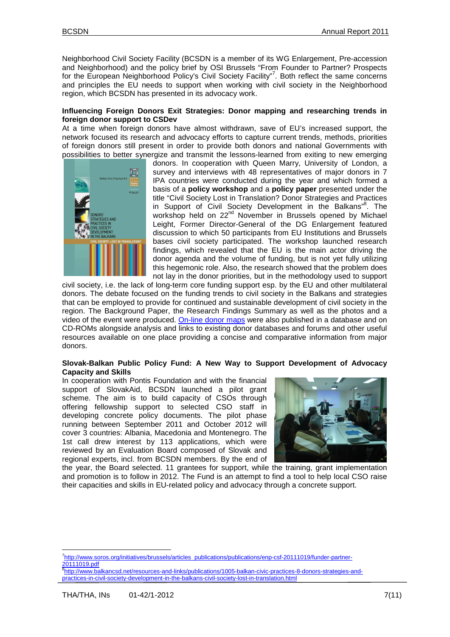Neighborhood Civil Society Facility (BCSDN is a member of its WG Enlargement, Pre-accession and Neighborhood) and the policy brief by OSI Brussels "From Founder to Partner? Prospects for the European Neighborhood Policy's Civil Society Facility"<sup>7</sup>. Both reflect the same concerns and principles the EU needs to support when working with civil society in the Neighborhood region, which BCSDN has presented in its advocacy work.

#### **Influencing Foreign Donors Exit Strategies: Donor mapping and researching trends in foreign donor support to CSDev**

At a time when foreign donors have almost withdrawn, save of EU's increased support, the network focused its research and advocacy efforts to capture current trends, methods, priorities of foreign donors still present in order to provide both donors and national Governments with possibilities to better synergize and transmit the lessons-learned from exiting to new emerging



donors. In cooperation with Queen Marry, University of London, a survey and interviews with 48 representatives of major donors in 7 IPA countries were conducted during the year and which formed a basis of a **policy workshop** and a **policy paper** presented under the title "Civil Society Lost in Translation? Donor Strategies and Practices in Support of Civil Society Development in the Balkans"<sup>8</sup>. The workshop held on 22<sup>nd</sup> November in Brussels opened by Michael Leight, Former Director-General of the DG Enlargement featured discussion to which 50 participants from EU Institutions and Brussels bases civil society participated. The workshop launched research findings, which revealed that the EU is the main actor driving the donor agenda and the volume of funding, but is not yet fully utilizing this hegemonic role. Also, the research showed that the problem does not lay in the donor priorities, but in the methodology used to support

civil society, i.e. the lack of long-term core funding support esp. by the EU and other multilateral donors. The debate focused on the funding trends to civil society in the Balkans and strategies that can be employed to provide for continued and sustainable development of civil society in the region. The Background Paper, the Research Findings Summary as well as the photos and a video of the event were produced. On-line donor maps were also published in a database and on CD-ROMs alongside analysis and links to existing donor databases and forums and other useful resources available on one place providing a concise and comparative information from major donors.

#### **Slovak-Balkan Public Policy Fund: A New Way to Support Development of Advocacy Capacity and Skills**

In cooperation with Pontis Foundation and with the financial support of SlovakAid, BCSDN launched a pilot grant scheme. The aim is to build capacity of CSOs through offering fellowship support to selected CSO staff in developing concrete policy documents. The pilot phase running between September 2011 and October 2012 will cover 3 countries: Albania, Macedonia and Montenegro. The 1st call drew interest by 113 applications, which were reviewed by an Evaluation Board composed of Slovak and regional experts, incl. from BCSDN members. By the end of



the year, the Board selected. 11 grantees for support, while the training, grant implementation and promotion is to follow in 2012. The Fund is an attempt to find a tool to help local CSO raise their capacities and skills in EU-related policy and advocacy through a concrete support.

 $\overline{a}$ 

<sup>7</sup>http://www.soros.org/initiatives/brussels/articles\_publications/publications/enp-csf-20111019/funder-partner-2<u>0111019.pdf</u><br><sup>8</sup>http://www.balkancsd.net/resources-and-links/publications/1005-balkan-civic-practices-8-donors-strategies-and-

Ξ practices-in-civil-society-development-in-the-balkans-civil-society-lost-in-translation.html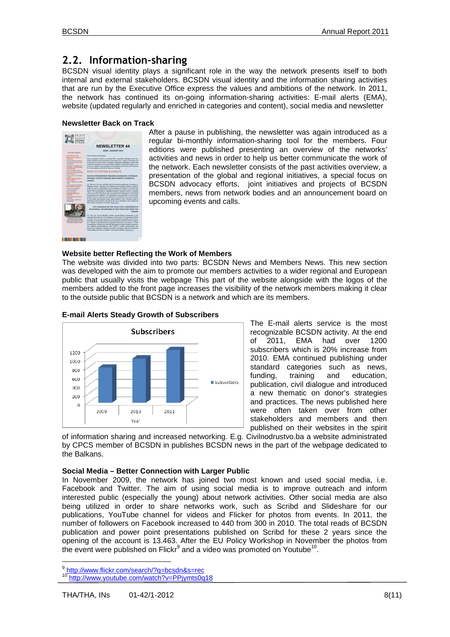### **2.2. Information-sharing**

BCSDN visual identity plays a significant role in the way the network presents itself to both internal and external stakeholders. BCSDN visual identity and the information sharing activities that are run by the Executive Office express the values and ambitions of the network. In 2011, the network has continued its on-going information-sharing activities: E-mail alerts (EMA), website (updated regularly and enriched in categories and content), social media and newsletter

#### **Newsletter Back on Track**



After a pause in publishing, the newsletter was again introduced as a regular bi-monthly information-sharing tool for the members. Four editions were published presenting an overview of the networks' activities and news in order to help us better communicate the work of the network. Each newsletter consists of the past activities overview, a presentation of the global and regional initiatives, a special focus on BCSDN advocacy efforts, joint initiatives and projects of BCSDN members, news from network bodies and an announcement board on upcoming events and calls.

#### **Website better Reflecting the Work of Members**

The website was divided into two parts: BCSDN News and Members News. This new section was developed with the aim to promote our members activities to a wider regional and European public that usually visits the webpage This part of the website alongside with the logos of the members added to the front page increases the visibility of the network members making it clear to the outside public that BCSDN is a network and which are its members.



#### **E-mail Alerts Steady Growth of Subscribers**

The E-mail alerts service is the most recognizable BCSDN activity. At the end<br>of 2011. EMA had over 1200 of 2011, EMA had over subscribers which is 20% increase from 2010. EMA continued publishing under standard categories such as news, funding, training and education, publication, civil dialogue and introduced a new thematic on donor's strategies and practices. The news published here were often taken over from other stakeholders and members and then published on their websites in the spirit

of information sharing and increased networking. E.g. Civilnodrustvo.ba a website administrated by CPCS member of BCSDN in publishes BCSDN news in the part of the webpage dedicated to the Balkans.

#### **Social Media – Better Connection with Larger Public**

In November 2009, the network has joined two most known and used social media, i.e. Facebook and Twitter. The aim of using social media is to improve outreach and inform interested public (especially the young) about network activities. Other social media are also being utilized in order to share networks work, such as Scribd and Slideshare for our publications, YouTube channel for videos and Flicker for photos from events. In 2011, the number of followers on Facebook increased to 440 from 300 in 2010. The total reads of BCSDN publication and power point presentations published on Scribd for these 2 years since the opening of the account is 13.463. After the EU Policy Workshop in November the photos from the event were published on Flickr $9$  and a video was promoted on Youtube<sup>10</sup>.

<sup>9&</sup>lt;br>http://www.flickr.com/search/?q=bcsdn&s=rec

<sup>10</sup> http://www.youtube.com/watch?v=PPjymts0q18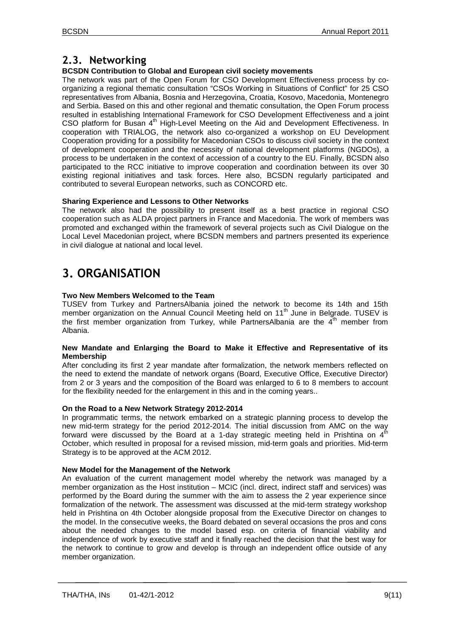### **2.3. Networking**

### **BCSDN Contribution to Global and European civil society movements**

The network was part of the Open Forum for CSO Development Effectiveness process by coorganizing a regional thematic consultation "CSOs Working in Situations of Conflict" for 25 CSO representatives from Albania, Bosnia and Herzegovina, Croatia, Kosovo, Macedonia, Montenegro and Serbia. Based on this and other regional and thematic consultation, the Open Forum process resulted in establishing International Framework for CSO Development Effectiveness and a joint CSO platform for Busan 4th High-Level Meeting on the Aid and Development Effectiveness. In cooperation with TRIALOG, the network also co-organized a workshop on EU Development Cooperation providing for a possibility for Macedonian CSOs to discuss civil society in the context of development cooperation and the necessity of national development platforms (NGDOs), a process to be undertaken in the context of accession of a country to the EU. Finally, BCSDN also participated to the RCC initiative to improve cooperation and coordination between its over 30 existing regional initiatives and task forces. Here also, BCSDN regularly participated and contributed to several European networks, such as CONCORD etc.

#### **Sharing Experience and Lessons to Other Networks**

The network also had the possibility to present itself as a best practice in regional CSO cooperation such as ALDA project partners in France and Macedonia. The work of members was promoted and exchanged within the framework of several projects such as Civil Dialogue on the Local Level Macedonian project, where BCSDN members and partners presented its experience in civil dialogue at national and local level.

# **3. ORGANISATION**

#### **Two New Members Welcomed to the Team**

TUSEV from Turkey and PartnersAlbania joined the network to become its 14th and 15th member organization on the Annual Council Meeting held on 11<sup>th</sup> June in Belgrade. TUSEV is the first member organization from Turkey, while PartnersAlbania are the  $4<sup>th</sup>$  member from Albania.

#### **New Mandate and Enlarging the Board to Make it Effective and Representative of its Membership**

After concluding its first 2 year mandate after formalization, the network members reflected on the need to extend the mandate of network organs (Board, Executive Office, Executive Director) from 2 or 3 years and the composition of the Board was enlarged to 6 to 8 members to account for the flexibility needed for the enlargement in this and in the coming years..

#### **On the Road to a New Network Strategy 2012-2014**

In programmatic terms, the network embarked on a strategic planning process to develop the new mid-term strategy for the period 2012-2014. The initial discussion from AMC on the way forward were discussed by the Board at a 1-day strategic meeting held in Prishtina on  $4<sup>th</sup>$ October, which resulted in proposal for a revised mission, mid-term goals and priorities. Mid-term Strategy is to be approved at the ACM 2012.

#### **New Model for the Management of the Network**

An evaluation of the current management model whereby the network was managed by a member organization as the Host institution – MCIC (incl. direct, indirect staff and services) was performed by the Board during the summer with the aim to assess the 2 year experience since formalization of the network. The assessment was discussed at the mid-term strategy workshop held in Prishtina on 4th October alongside proposal from the Executive Director on changes to the model. In the consecutive weeks, the Board debated on several occasions the pros and cons about the needed changes to the model based esp. on criteria of financial viability and independence of work by executive staff and it finally reached the decision that the best way for the network to continue to grow and develop is through an independent office outside of any member organization.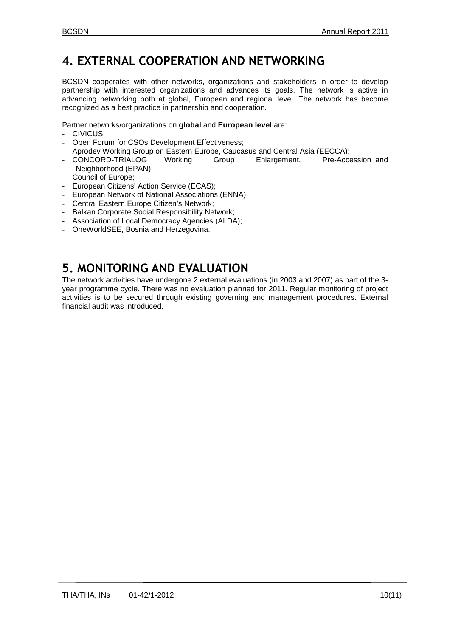## **4. EXTERNAL COOPERATION AND NETWORKING**

BCSDN cooperates with other networks, organizations and stakeholders in order to develop partnership with interested organizations and advances its goals. The network is active in advancing networking both at global, European and regional level. The network has become recognized as a best practice in partnership and cooperation.

Partner networks/organizations on **global** and **European level** are:

- CIVICUS;
- Open Forum for CSOs Development Effectiveness;
- 
- Aprodev Working Group on Eastern Europe, Caucasus and Central Asia (EECCA);<br>CONCORD-TRIALOG Working Group Enlargement, Pre-Accession and CONCORD-TRIALOG Neighborhood (EPAN);
- Council of Europe;
- European Citizens' Action Service (ECAS);
- European Network of National Associations (ENNA);
- Central Eastern Europe Citizen's Network;
- Balkan Corporate Social Responsibility Network:
- Association of Local Democracy Agencies (ALDA);
- OneWorldSEE, Bosnia and Herzegovina.

## **5. MONITORING AND EVALUATION**

The network activities have undergone 2 external evaluations (in 2003 and 2007) as part of the 3 year programme cycle. There was no evaluation planned for 2011. Regular monitoring of project activities is to be secured through existing governing and management procedures. External financial audit was introduced.